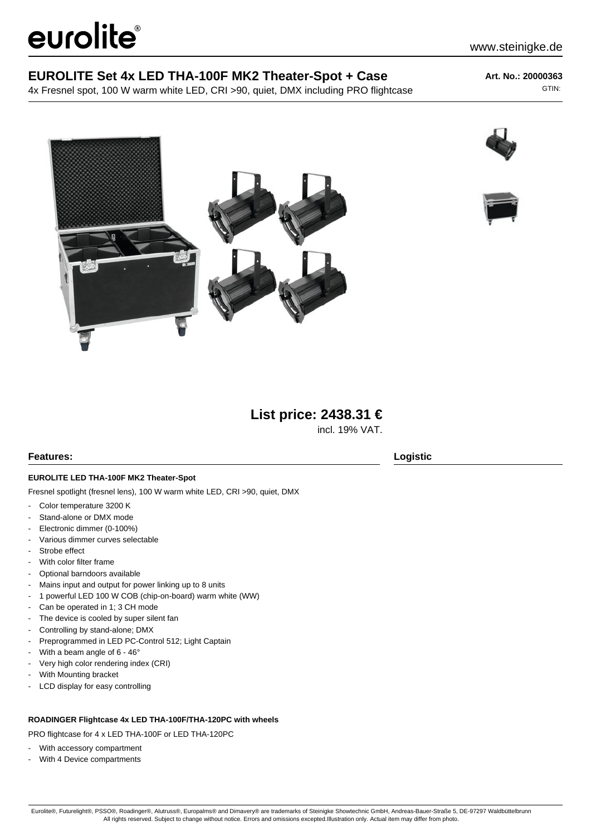# eurolite®

4x Fresnel spot, 100 W warm white LED, CRI >90, quiet, DMX including PRO flightcase

**Art. No.: 20000363** GTIN:

www.steinigke.de







# **List price: 2438.31 €**

incl. 19% VAT.

# **Features: Logistic**

### **EUROLITE LED THA-100F MK2 Theater-Spot**

Fresnel spotlight (fresnel lens), 100 W warm white LED, CRI >90, quiet, DMX

- Color temperature 3200 K
- Stand-alone or DMX mode
- Electronic dimmer (0-100%)
- Various dimmer curves selectable
- Strobe effect
- With color filter frame
- Optional barndoors available
- Mains input and output for power linking up to 8 units
- 1 powerful LED 100 W COB (chip-on-board) warm white (WW)
- Can be operated in 1; 3 CH mode
- The device is cooled by super silent fan
- Controlling by stand-alone; DMX
- Preprogrammed in LED PC-Control 512; Light Captain
- With a beam angle of  $6 46^\circ$
- Very high color rendering index (CRI)
- With Mounting bracket
- LCD display for easy controlling

#### **ROADINGER Flightcase 4x LED THA-100F/THA-120PC with wheels**

PRO flightcase for 4 x LED THA-100F or LED THA-120PC

- With accessory compartment
- With 4 Device compartments

Eurolite®, Futurelight®, PSSO®, Roadinger®, Alutruss®, Europalms® and Dimavery® are trademarks of Steinigke Showtechnic GmbH, Andreas-Bauer-Straße 5, DE-97297 Waldbüttelbrunn All rights reserved. Subject to change without notice. Errors and omissions excepted.Illustration only. Actual item may differ from photo.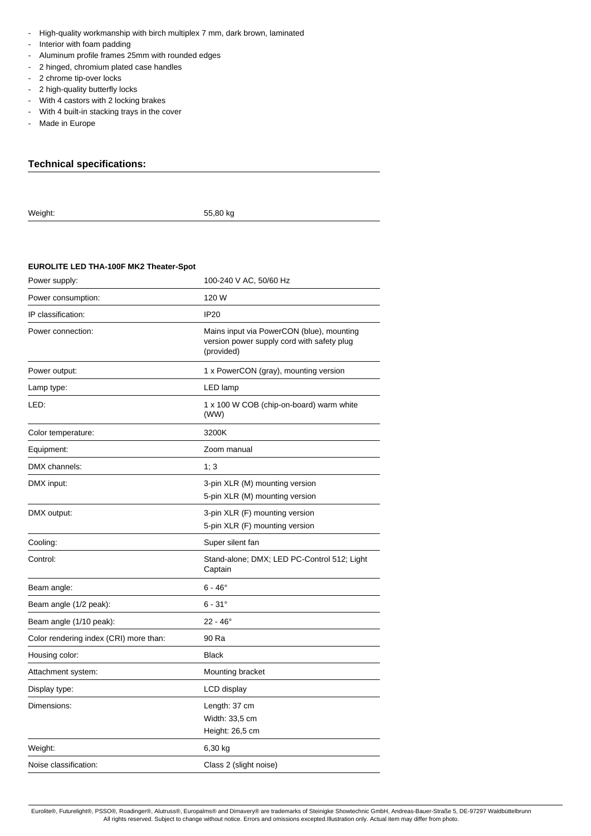- High-quality workmanship with birch multiplex 7 mm, dark brown, laminated
- Interior with foam padding
- Aluminum profile frames 25mm with rounded edges
- 2 hinged, chromium plated case handles
- 2 chrome tip-over locks
- 2 high-quality butterfly locks
- With 4 castors with 2 locking brakes
- With 4 built-in stacking trays in the cover
- Made in Europe

# **Technical specifications:**

Weight: 55,80 kg

# **EUROLITE LED THA-100F MK2 Theater-Spot**

| Power supply:                          | 100-240 V AC, 50/60 Hz                                                                                |
|----------------------------------------|-------------------------------------------------------------------------------------------------------|
| Power consumption:                     | 120 W                                                                                                 |
| IP classification:                     | <b>IP20</b>                                                                                           |
| Power connection:                      | Mains input via PowerCON (blue), mounting<br>version power supply cord with safety plug<br>(provided) |
| Power output:                          | 1 x PowerCON (gray), mounting version                                                                 |
| Lamp type:                             | LED lamp                                                                                              |
| LED:                                   | 1 x 100 W COB (chip-on-board) warm white<br>(WW)                                                      |
| Color temperature:                     | 3200K                                                                                                 |
| Equipment:                             | Zoom manual                                                                                           |
| DMX channels:                          | 1; 3                                                                                                  |
| DMX input:                             | 3-pin XLR (M) mounting version<br>5-pin XLR (M) mounting version                                      |
| DMX output:                            | 3-pin XLR (F) mounting version<br>5-pin XLR (F) mounting version                                      |
| Cooling:                               | Super silent fan                                                                                      |
| Control:                               | Stand-alone; DMX; LED PC-Control 512; Light<br>Captain                                                |
| Beam angle:                            | $6 - 46^\circ$                                                                                        |
| Beam angle (1/2 peak):                 | $6 - 31^{\circ}$                                                                                      |
| Beam angle (1/10 peak):                | $22 - 46^{\circ}$                                                                                     |
| Color rendering index (CRI) more than: | 90 Ra                                                                                                 |
| Housing color:                         | <b>Black</b>                                                                                          |
| Attachment system:                     | Mounting bracket                                                                                      |
| Display type:                          | LCD display                                                                                           |
| Dimensions:                            | Length: 37 cm<br>Width: 33,5 cm<br>Height: 26,5 cm                                                    |
| Weight:                                | 6,30 kg                                                                                               |
| Noise classification:                  | Class 2 (slight noise)                                                                                |
|                                        |                                                                                                       |

Eurolite®, Futurelight®, PSSO®, Roadinger®, Alutruss®, Europalms® and Dimavery® are trademarks of Steinigke Showtechnic GmbH, Andreas-Bauer-Straße 5, DE-97297 Waldbüttelbrunn All rights reserved. Subject to change without notice. Errors and omissions excepted.Illustration only. Actual item may differ from photo.